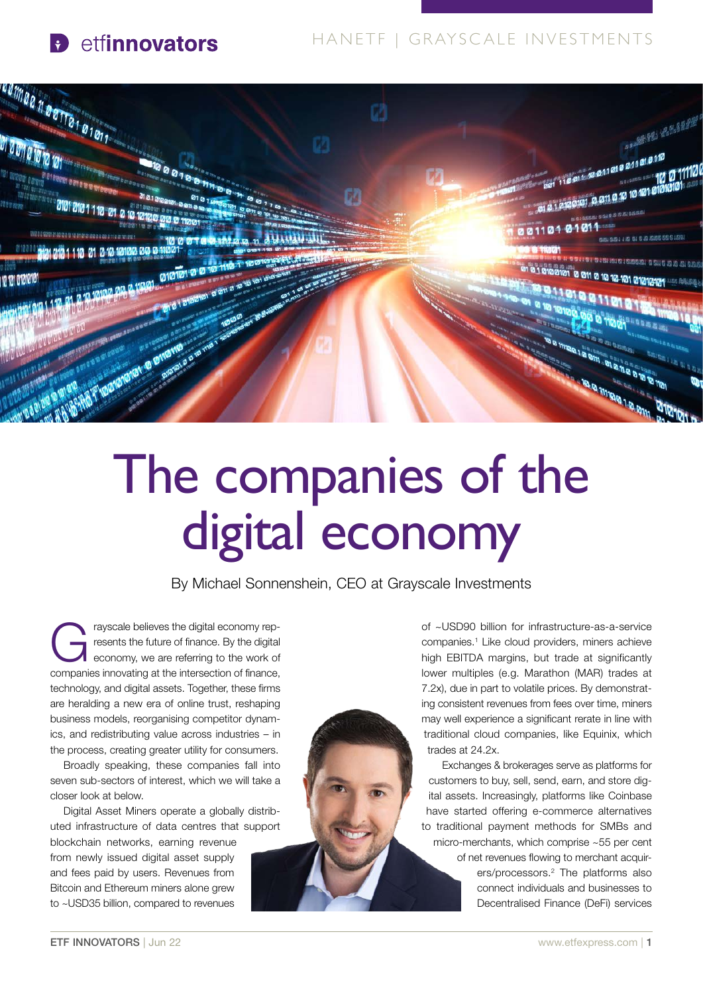### **P** etfinnovators

### HANETF | GRAYSC ALE INVESTMENTS



# The companies of the digital economy

By Michael Sonnenshein, CEO at Grayscale Investments

rayscale believes the digital economy rep-<br>resents the future of finance. By the digital<br>economy, we are referring to the work of resents the future of finance. By the digital companies innovating at the intersection of finance, technology, and digital assets. Together, these firms are heralding a new era of online trust, reshaping business models, reorganising competitor dynamics, and redistributing value across industries – in the process, creating greater utility for consumers.

Broadly speaking, these companies fall into seven sub-sectors of interest, which we will take a closer look at below.

Digital Asset Miners operate a globally distributed infrastructure of data centres that support

blockchain networks, earning revenue from newly issued digital asset supply and fees paid by users. Revenues from Bitcoin and Ethereum miners alone grew to ~USD35 billion, compared to revenues



of ~USD90 billion for infrastructure-as-a-service companies.1 Like cloud providers, miners achieve high EBITDA margins, but trade at significantly lower multiples (e.g. Marathon (MAR) trades at 7.2x), due in part to volatile prices. By demonstrating consistent revenues from fees over time, miners may well experience a significant rerate in line with traditional cloud companies, like Equinix, which trades at 24.2x.

Exchanges & brokerages serve as platforms for customers to buy, sell, send, earn, and store digital assets. Increasingly, platforms like Coinbase have started offering e-commerce alternatives to traditional payment methods for SMBs and micro-merchants, which comprise ~55 per cent of net revenues flowing to merchant acquirers/processors.2 The platforms also connect individuals and businesses to Decentralised Finance (DeFi) services